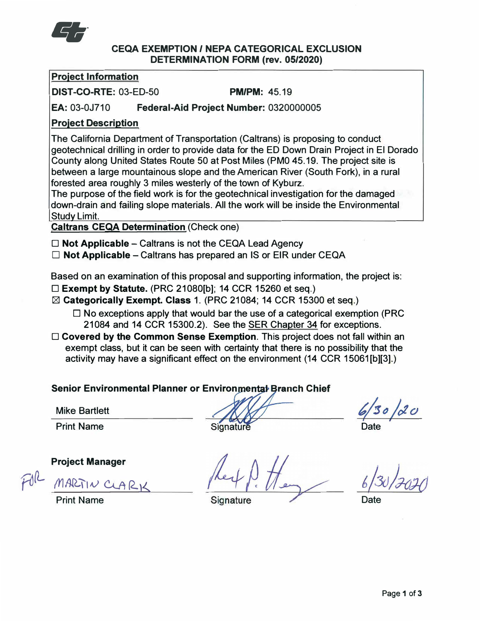

### **CEQA EXEMPTION / NEPA CATEGORICAL EXCLUSION DETERMINATION FORM (rev. 05/2020)**

## **Project Information**

**DIST-CO-RTE:** 03-ED-50 **PM/PM:** 45.19

**EA:** 03-0J710 **Federal-Aid Project Number:** 0320000005

# **Project Description**

The California Department of Transportation (Caltrans) is proposing to conduct geotechnical drilling in order to provide data for the ED Down Drain Project in El Dorado County along United States Route 50 at Post Miles (PM0 45.19. The project site is between a large mountainous slope and the American River (South Fork), in a rural forested area roughly 3 miles westerly of the town of Kyburz.

The purpose of the field work is for the geotechnical investigation for the damaged down-drain and failing slope materials. All the work will be inside the Environmental Study Limit.

**Caltrans CEQA Determination** (Check one)

**□ Not Applicable** - Caltrans is not the CEQA Lead Agency

□ **Not Applicable** – Caltrans has prepared an IS or EIR under CEQA

Based on an examination of this proposal and supporting information, the project is:

- **□ Exempt by Statute.** (PRC 21080[b]; 14 CCR 15260 et seq.)
- l:8l **Categorically Exempt. Class** 1. (PRC 21084; 14 CCR 15300 et seq.)
	- **□** No exceptions apply that would bar the use of a categorical exemption (PRC 21084 and 14 CCR 15300.2). See the SER Chapter 34 for exceptions.
- **□ Covered by the Common Sense Exemption.** This project does not fall within an exempt class, but it can be seen with certainty that there is no possibility that the activity may have a significant effect on the environment (14 CCR 15061[b][3].)

**Senior Environmental Planner or Environmental Branch Chief** 

**Mike** Bartlett

Print Name

**Signature** 

 $30 \,$ 

Date

**Date** 

**Project Manager** 

 $FdR$  *MARTIN* CLARK

Print Name

Signature